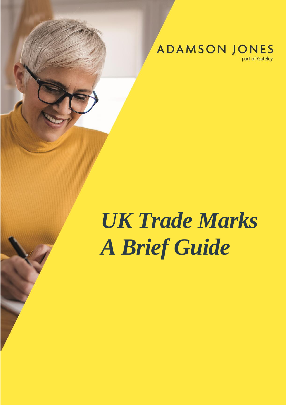**ADAMSON JONES** 

part of Gateley

# *UK Trade Marks A Brief Guide*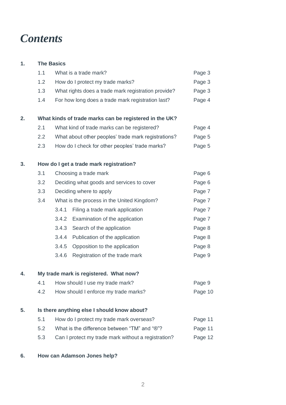# *Contents*

#### **1. The Basics**

|    | 1.1 | What is a trade mark?                                  | Page 3  |
|----|-----|--------------------------------------------------------|---------|
|    | 1.2 | How do I protect my trade marks?                       | Page 3  |
|    | 1.3 | What rights does a trade mark registration provide?    | Page 3  |
|    | 1.4 | For how long does a trade mark registration last?      | Page 4  |
| 2. |     | What kinds of trade marks can be registered in the UK? |         |
|    | 2.1 | What kind of trade marks can be registered?            | Page 4  |
|    | 2.2 | What about other peoples' trade mark registrations?    | Page 5  |
|    | 2.3 | How do I check for other peoples' trade marks?         | Page 5  |
| 3. |     | How do I get a trade mark registration?                |         |
|    | 3.1 | Choosing a trade mark                                  | Page 6  |
|    | 3.2 | Deciding what goods and services to cover              | Page 6  |
|    | 3.3 | Deciding where to apply                                | Page 7  |
|    | 3.4 | What is the process in the United Kingdom?             | Page 7  |
|    |     | 3.4.1<br>Filing a trade mark application               | Page 7  |
|    |     | 3.4.2<br>Examination of the application                | Page 7  |
|    |     | 3.4.3<br>Search of the application                     | Page 8  |
|    |     | 3.4.4<br>Publication of the application                | Page 8  |
|    |     | 3.4.5<br>Opposition to the application                 | Page 8  |
|    |     | 3.4.6<br>Registration of the trade mark                | Page 9  |
| 4. |     | My trade mark is registered. What now?                 |         |
|    | 4.1 | How should I use my trade mark?                        | Page 9  |
|    | 4.2 | How should I enforce my trade marks?                   | Page 10 |
| 5. |     | Is there anything else I should know about?            |         |

| 5.1 | How do I protect my trade mark overseas?            | Page 11 |
|-----|-----------------------------------------------------|---------|
| 5.2 | What is the difference between "TM" and "®"?        | Page 11 |
| 5.3 | Can I protect my trade mark without a registration? | Page 12 |

#### **6. How can Adamson Jones help?**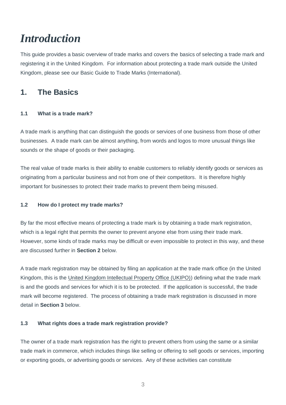# *Introduction*

This guide provides a basic overview of trade marks and covers the basics of selecting a trade mark and registering it in the United Kingdom. For information about protecting a trade mark outside the United Kingdom, please see our Basic Guide to Trade Marks (International).

# **1. The Basics**

#### **1.1 What is a trade mark?**

A trade mark is anything that can distinguish the goods or services of one business from those of other businesses. A trade mark can be almost anything, from words and logos to more unusual things like sounds or the shape of goods or their packaging.

The real value of trade marks is their ability to enable customers to reliably identify goods or services as originating from a particular business and not from one of their competitors. It is therefore highly important for businesses to protect their trade marks to prevent them being misused.

#### **1.2 How do I protect my trade marks?**

By far the most effective means of protecting a trade mark is by obtaining a trade mark registration, which is a legal right that permits the owner to prevent anyone else from using their trade mark. However, some kinds of trade marks may be difficult or even impossible to protect in this way, and these are discussed further in **Section 2** below.

A trade mark registration may be obtained by filing an application at the trade mark office (in the United Kingdom, this is the [United Kingdom Intellectual Property Office \(UKIPO\)\)](https://www.gov.uk/topic/intellectual-property/trade-marks) defining what the trade mark is and the goods and services for which it is to be protected. If the application is successful, the trade mark will become registered. The process of obtaining a trade mark registration is discussed in more detail in **Section 3** below.

#### **1.3 What rights does a trade mark registration provide?**

The owner of a trade mark registration has the right to prevent others from using the same or a similar trade mark in commerce, which includes things like selling or offering to sell goods or services, importing or exporting goods, or advertising goods or services. Any of these activities can constitute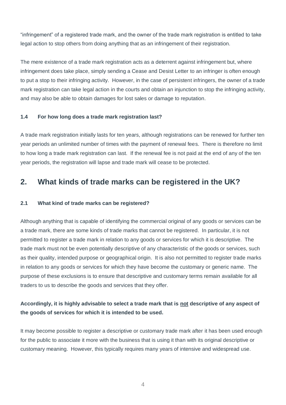"infringement" of a registered trade mark, and the owner of the trade mark registration is entitled to take legal action to stop others from doing anything that as an infringement of their registration.

The mere existence of a trade mark registration acts as a deterrent against infringement but, where infringement does take place, simply sending a Cease and Desist Letter to an infringer is often enough to put a stop to their infringing activity. However, in the case of persistent infringers, the owner of a trade mark registration can take legal action in the courts and obtain an injunction to stop the infringing activity, and may also be able to obtain damages for lost sales or damage to reputation.

#### **1.4 For how long does a trade mark registration last?**

A trade mark registration initially lasts for ten years, although registrations can be renewed for further ten year periods an unlimited number of times with the payment of renewal fees. There is therefore no limit to how long a trade mark registration can last. If the renewal fee is not paid at the end of any of the ten year periods, the registration will lapse and trade mark will cease to be protected.

## **2. What kinds of trade marks can be registered in the UK?**

#### **2.1 What kind of trade marks can be registered?**

Although anything that is capable of identifying the commercial original of any goods or services can be a trade mark, there are some kinds of trade marks that cannot be registered. In particular, it is not permitted to register a trade mark in relation to any goods or services for which it is descriptive. The trade mark must not be even potentially descriptive of any characteristic of the goods or services, such as their quality, intended purpose or geographical origin. It is also not permitted to register trade marks in relation to any goods or services for which they have become the customary or generic name. The purpose of these exclusions is to ensure that descriptive and customary terms remain available for all traders to us to describe the goods and services that they offer.

#### **Accordingly, it is highly advisable to select a trade mark that is not descriptive of any aspect of the goods of services for which it is intended to be used.**

It may become possible to register a descriptive or customary trade mark after it has been used enough for the public to associate it more with the business that is using it than with its original descriptive or customary meaning. However, this typically requires many years of intensive and widespread use.

4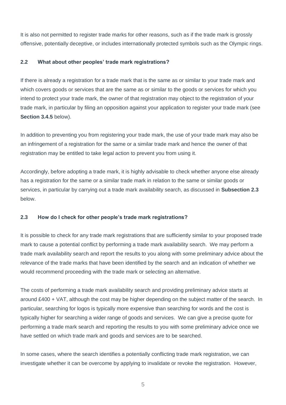It is also not permitted to register trade marks for other reasons, such as if the trade mark is grossly offensive, potentially deceptive, or includes internationally protected symbols such as the Olympic rings.

#### **2.2 What about other peoples' trade mark registrations?**

If there is already a registration for a trade mark that is the same as or similar to your trade mark and which covers goods or services that are the same as or similar to the goods or services for which you intend to protect your trade mark, the owner of that registration may object to the registration of your trade mark, in particular by filing an opposition against your application to register your trade mark (see **Section 3.4.5** below).

In addition to preventing you from registering your trade mark, the use of your trade mark may also be an infringement of a registration for the same or a similar trade mark and hence the owner of that registration may be entitled to take legal action to prevent you from using it.

Accordingly, before adopting a trade mark, it is highly advisable to check whether anyone else already has a registration for the same or a similar trade mark in relation to the same or similar goods or services, in particular by carrying out a trade mark availability search, as discussed in **Subsection 2.3** below.

#### **2.3 How do I check for other people's trade mark registrations?**

It is possible to check for any trade mark registrations that are sufficiently similar to your proposed trade mark to cause a potential conflict by performing a trade mark availability search. We may perform a trade mark availability search and report the results to you along with some preliminary advice about the relevance of the trade marks that have been identified by the search and an indication of whether we would recommend proceeding with the trade mark or selecting an alternative.

The costs of performing a trade mark availability search and providing preliminary advice starts at around £400 + VAT, although the cost may be higher depending on the subject matter of the search. In particular, searching for logos is typically more expensive than searching for words and the cost is typically higher for searching a wider range of goods and services. We can give a precise quote for performing a trade mark search and reporting the results to you with some preliminary advice once we have settled on which trade mark and goods and services are to be searched.

In some cases, where the search identifies a potentially conflicting trade mark registration, we can investigate whether it can be overcome by applying to invalidate or revoke the registration. However,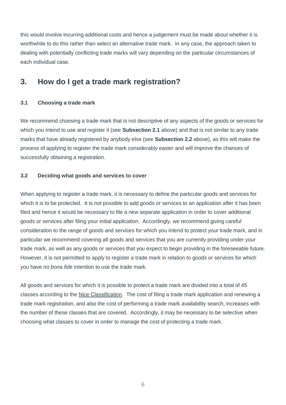this would involve incurring additional costs and hence a judgement must be made about whether it is worthwhile to do this rather than select an alternative trade mark. In any case, the approach taken to dealing with potentially conflicting trade marks will vary depending on the particular circumstances of each individual case.

## **3. How do I get a trade mark registration?**

#### **3.1 Choosing a trade mark**

We recommend choosing a trade mark that is not descriptive of any aspects of the goods or services for which you intend to use and register it (see **Subsection 2.1** above) and that is not similar to any trade marks that have already registered by anybody else (see **Subsection 2.2** above), as this will make the process of applying to register the trade mark considerably easier and will improve the chances of successfully obtaining a registration.

#### **3.2 Deciding what goods and services to cover**

When applying to register a trade mark, it is necessary to define the particular goods and services for which it is to be protected. It is not possible to add goods or services to an application after it has been filed and hence it would be necessary to file a new separate application in order to cover additional goods or services after filing your initial application. Accordingly, we recommend giving careful consideration to the range of goods and services for which you intend to protect your trade mark, and in particular we recommend covering all goods and services that you are currently providing under your trade mark, as well as any goods or services that you expect to begin providing in the foreseeable future. However, it is not permitted to apply to register a trade mark in relation to goods or services for which you have no *bona fide* intention to use the trade mark.

All goods and services for which it is possible to protect a trade mark are divided into a total of 45 classes according to the [Nice Classification.](http://www.wipo.int/classifications/nivilo/nice/index.htm?lang=EN) The cost of filing a trade mark application and renewing a trade mark registration, and also the cost of performing a trade mark availability search, increases with the number of these classes that are covered. Accordingly, it may be necessary to be selective when choosing what classes to cover in order to manage the cost of protecting a trade mark.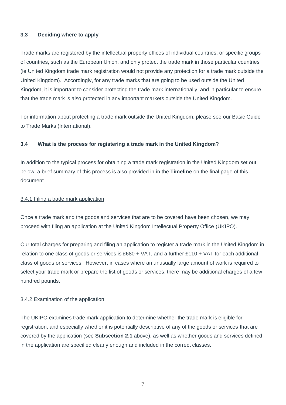#### **3.3 Deciding where to apply**

Trade marks are registered by the intellectual property offices of individual countries, or specific groups of countries, such as the European Union, and only protect the trade mark in those particular countries (ie United Kingdom trade mark registration would not provide any protection for a trade mark outside the United Kingdom). Accordingly, for any trade marks that are going to be used outside the United Kingdom, it is important to consider protecting the trade mark internationally, and in particular to ensure that the trade mark is also protected in any important markets outside the United Kingdom.

For information about protecting a trade mark outside the United Kingdom, please see our Basic Guide to Trade Marks (International).

#### **3.4 What is the process for registering a trade mark in the United Kingdom?**

In addition to the typical process for obtaining a trade mark registration in the United Kingdom set out below, a brief summary of this process is also provided in in the **Timeline** on the final page of this document.

#### 3.4.1 Filing a trade mark application

Once a trade mark and the goods and services that are to be covered have been chosen, we may proceed with filing an application at the [United Kingdom Intellectual Property Office \(UKIPO\).](http://www.gov.uk/topic/intellectual-property/trade-marks)

Our total charges for preparing and filing an application to register a trade mark in the United Kingdom in relation to one class of goods or services is  $£680 + VAT$ , and a further  $£110 + VAT$  for each additional class of goods or services. However, in cases where an unusually large amount of work is required to select your trade mark or prepare the list of goods or services, there may be additional charges of a few hundred pounds.

#### 3.4.2 Examination of the application

The UKIPO examines trade mark application to determine whether the trade mark is eligible for registration, and especially whether it is potentially descriptive of any of the goods or services that are covered by the application (see **Subsection 2.1** above), as well as whether goods and services defined in the application are specified clearly enough and included in the correct classes.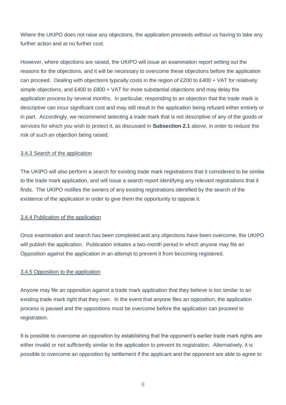Where the UKIPO does not raise any objections, the application proceeds without us having to take any further action and at no further cost.

However, where objections are raised, the UKIPO will issue an examination report setting out the reasons for the objections, and it will be necessary to overcome these objections before the application can proceed. Dealing with objections typically costs in the region of £200 to £400 + VAT for relatively simple objections, and £400 to £800 + VAT for more substantial objections and may delay the application process by several months. In particular, responding to an objection that the trade mark is descriptive can incur significant cost and may still result in the application being refused either entirely or in part. Accordingly, we recommend selecting a trade mark that is not descriptive of any of the goods or services for which you wish to protect it, as discussed in **Subsection 2.1** above, in order to reduce the risk of such an objection being raised.

#### 3.4.3 Search of the application

The UKIPO will also perform a search for existing trade mark registrations that it considered to be similar to the trade mark application, and will issue a search report identifying any relevant registrations that it finds. The UKIPO notifies the owners of any existing registrations identified by the search of the existence of the application in order to give them the opportunity to oppose it.

#### 3.4.4 Publication of the application

Once examination and search has been completed and any objections have been overcome, the UKIPO will publish the application. Publication initiates a two-month period in which anyone may file an Opposition against the application in an attempt to prevent it from becoming registered.

#### 3.4.5 Opposition to the application

Anyone may file an opposition against a trade mark application that they believe is too similar to an existing trade mark right that they own. In the event that anyone files an opposition, the application process is paused and the oppositions must be overcome before the application can proceed to registration.

It is possible to overcome an opposition by establishing that the opponent's earlier trade mark rights are either invalid or not sufficiently similar to the application to prevent its registration. Alternatively, it is possible to overcome an opposition by settlement if the applicant and the opponent are able to agree to

8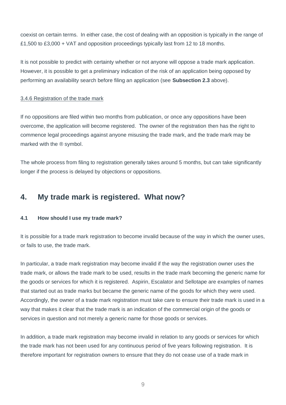coexist on certain terms. In either case, the cost of dealing with an opposition is typically in the range of £1,500 to £3,000 + VAT and opposition proceedings typically last from 12 to 18 months.

It is not possible to predict with certainty whether or not anyone will oppose a trade mark application. However, it is possible to get a preliminary indication of the risk of an application being opposed by performing an availability search before filing an application (see **Subsection 2.3** above).

#### 3.4.6 Registration of the trade mark

If no oppositions are filed within two months from publication, or once any oppositions have been overcome, the application will become registered. The owner of the registration then has the right to commence legal proceedings against anyone misusing the trade mark, and the trade mark may be marked with the ® symbol.

The whole process from filing to registration generally takes around 5 months, but can take significantly longer if the process is delayed by objections or oppositions.

## **4. My trade mark is registered. What now?**

#### **4.1 How should I use my trade mark?**

It is possible for a trade mark registration to become invalid because of the way in which the owner uses, or fails to use, the trade mark.

In particular, a trade mark registration may become invalid if the way the registration owner uses the trade mark, or allows the trade mark to be used, results in the trade mark becoming the generic name for the goods or services for which it is registered. Aspirin, Escalator and Sellotape are examples of names that started out as trade marks but became the generic name of the goods for which they were used. Accordingly, the owner of a trade mark registration must take care to ensure their trade mark is used in a way that makes it clear that the trade mark is an indication of the commercial origin of the goods or services in question and not merely a generic name for those goods or services.

In addition, a trade mark registration may become invalid in relation to any goods or services for which the trade mark has not been used for any continuous period of five years following registration. It is therefore important for registration owners to ensure that they do not cease use of a trade mark in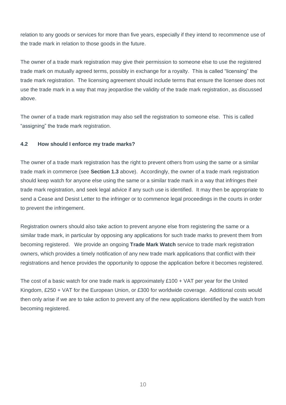relation to any goods or services for more than five years, especially if they intend to recommence use of the trade mark in relation to those goods in the future.

The owner of a trade mark registration may give their permission to someone else to use the registered trade mark on mutually agreed terms, possibly in exchange for a royalty. This is called "licensing" the trade mark registration. The licensing agreement should include terms that ensure the licensee does not use the trade mark in a way that may jeopardise the validity of the trade mark registration, as discussed above.

The owner of a trade mark registration may also sell the registration to someone else. This is called "assigning" the trade mark registration.

#### **4.2 How should I enforce my trade marks?**

The owner of a trade mark registration has the right to prevent others from using the same or a similar trade mark in commerce (see **Section 1.3** above). Accordingly, the owner of a trade mark registration should keep watch for anyone else using the same or a similar trade mark in a way that infringes their trade mark registration, and seek legal advice if any such use is identified. It may then be appropriate to send a Cease and Desist Letter to the infringer or to commence legal proceedings in the courts in order to prevent the infringement.

Registration owners should also take action to prevent anyone else from registering the same or a similar trade mark, in particular by opposing any applications for such trade marks to prevent them from becoming registered. We provide an ongoing **Trade Mark Watch** service to trade mark registration owners, which provides a timely notification of any new trade mark applications that conflict with their registrations and hence provides the opportunity to oppose the application before it becomes registered.

The cost of a basic watch for one trade mark is approximately £100 + VAT per year for the United Kingdom, £250 + VAT for the European Union, or £300 for worldwide coverage. Additional costs would then only arise if we are to take action to prevent any of the new applications identified by the watch from becoming registered.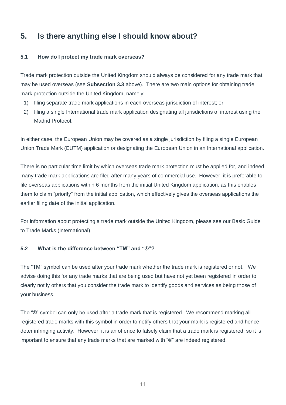# **5. Is there anything else I should know about?**

#### **5.1 How do I protect my trade mark overseas?**

Trade mark protection outside the United Kingdom should always be considered for any trade mark that may be used overseas (see **Subsection 3.3** above). There are two main options for obtaining trade mark protection outside the United Kingdom, namely:

- 1) filing separate trade mark applications in each overseas jurisdiction of interest; or
- 2) filing a single International trade mark application designating all jurisdictions of interest using the Madrid Protocol.

In either case, the European Union may be covered as a single jurisdiction by filing a single European Union Trade Mark (EUTM) application or designating the European Union in an International application.

There is no particular time limit by which overseas trade mark protection must be applied for, and indeed many trade mark applications are filed after many years of commercial use. However, it is preferable to file overseas applications within 6 months from the initial United Kingdom application, as this enables them to claim "priority" from the initial application, which effectively gives the overseas applications the earlier filing date of the initial application.

For information about protecting a trade mark outside the United Kingdom, please see our Basic Guide to Trade Marks (International).

#### **5.2 What is the difference between "TM" and "®"?**

The "TM" symbol can be used after your trade mark whether the trade mark is registered or not. We advise doing this for any trade marks that are being used but have not yet been registered in order to clearly notify others that you consider the trade mark to identify goods and services as being those of your business.

The "®" symbol can only be used after a trade mark that is registered. We recommend marking all registered trade marks with this symbol in order to notify others that your mark is registered and hence deter infringing activity. However, it is an offence to falsely claim that a trade mark is registered, so it is important to ensure that any trade marks that are marked with " $@$ " are indeed registered.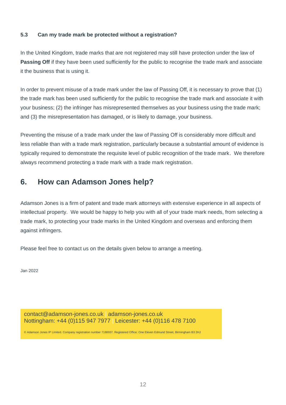#### **5.3 Can my trade mark be protected without a registration?**

In the United Kingdom, trade marks that are not registered may still have protection under the law of **Passing Off** if they have been used sufficiently for the public to recognise the trade mark and associate it the business that is using it.

In order to prevent misuse of a trade mark under the law of Passing Off, it is necessary to prove that (1) the trade mark has been used sufficiently for the public to recognise the trade mark and associate it with your business; (2) the infringer has misrepresented themselves as your business using the trade mark; and (3) the misrepresentation has damaged, or is likely to damage, your business.

Preventing the misuse of a trade mark under the law of Passing Off is considerably more difficult and less reliable than with a trade mark registration, particularly because a substantial amount of evidence is typically required to demonstrate the requisite level of public recognition of the trade mark. We therefore always recommend protecting a trade mark with a trade mark registration.

## **6. How can Adamson Jones help?**

Adamson Jones is a firm of patent and trade mark attorneys with extensive experience in all aspects of intellectual property. We would be happy to help you with all of your trade mark needs, from selecting a trade mark, to protecting your trade marks in the United Kingdom and overseas and enforcing them against infringers.

Please feel free to contact us on the details given below to arrange a meeting.

Jan 2022

contact@adamson-jones.co.uk | adamson-jones.co.uk Nottingham: +44 (0)115 947 7977 | Leicester: +44 (0)116 478 7100

© Adamson Jones IP Limited. Company registration number 7188937. Registered Office: One Eleven Edmund Street, Birmingham B3 2HJ